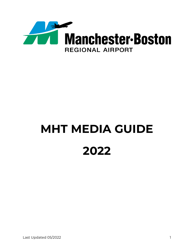

# **MHT MEDIA GUIDE 2022**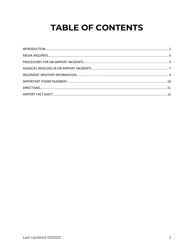# **TABLE OF CONTENTS**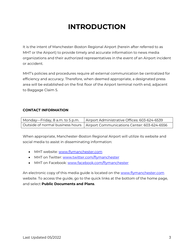# **INTRODUCTION**

<span id="page-2-0"></span>It is the intent of Manchester-Boston Regional Airport (herein after referred to as MHT or the Airport) to provide timely and accurate information to news media organizations and their authorized representatives in the event of an Airport incident or accident.

MHT's policies and procedures require all external communication be centralized for efficiency and accuracy. Therefore, when deemed appropriate, a designated press area will be established on the first floor of the Airport terminal north end, adjacent to Baggage Claim 5.

#### **CONTACT INFORMATION**

| Monday—Friday, 8 a.m. to 5 p.m. | Airport Administrative Offices: 603-624-6539                                   |
|---------------------------------|--------------------------------------------------------------------------------|
|                                 | Outside of normal business hours   Airport Communications Center: 603-624-6556 |

When appropriate, Manchester-Boston Regional Airport will utilize its website and social media to assist in disseminating information:

- MHT website: [www.flymanchester.com](http://www.flymanchester.com/)
- MHT on Twitter: [www.twitter.com/flymanchester](http://www.twitter.com/flymanchester)
- MHT on Facebook: [www.facebook.com/flymanchester](http://www.facebook.com/flymanchester)

An electronic copy of this media guide is located on the [www.flymanchester.com](http://www.flymanchester.com/) website. To access the guide, go to the quick links at the bottom of the home page, and select **Public Documents and Plans**.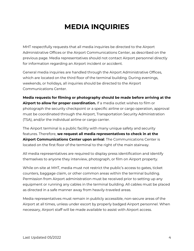# **MEDIA INQUIRIES**

<span id="page-3-0"></span>MHT respectfully requests that all media inquiries be directed to the Airport Administrative Offices or the Airport Communications Center, as described on the previous page. Media representatives should not contact Airport personnel directly for information regarding an Airport incident or accident.

General media inquiries are handled through the Airport Administrative Offices, which are located on the third floor of the terminal building. During evenings, weekends, or holidays, all inquiries should be directed to the Airport Communications Center.

**Media requests for filming or photography should be made before arriving at the Airport to allow for proper coordination.** If a media outlet wishes to film or photograph the security checkpoint or a specific airline or cargo operation, approval must be coordinated through the Airport, Transportation Security Administration (TSA), and/or the individual airline or cargo carrier.

The Airport terminal is a public facility with many unique safety and security features. Therefore, **we request all media representatives to check in at the Airport Communications Center upon arrival**. The Communications Center is located on the first floor of the terminal to the right of the main stairway.

All media representatives are required to display press identification and identify themselves to anyone they interview, photograph, or film on Airport property.

While on-site at MHT, media must not restrict the public's access to gates, ticket counters, baggage claim, or other common areas within the terminal building. Permission from Airport administration must be received prior to setting up any equipment or running any cables in the terminal building. All cables must be placed as directed in a safe manner away from heavily-traveled areas.

Media representatives must remain in publicly accessible, non-secure areas of the Airport at all times, unless under escort by properly badged Airport personnel. When necessary, Airport staff will be made available to assist with Airport access.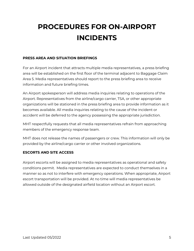# <span id="page-4-0"></span>**PROCEDURES FOR ON-AIRPORT INCIDENTS**

#### **PRESS AREA AND SITUATION BRIEFINGS**

For an Airport incident that attracts multiple media representatives, a press briefing area will be established on the first floor of the terminal adjacent to Baggage Claim Area 5. Media representatives should report to the press briefing area to receive information and future briefing times.

An Airport spokesperson will address media inquiries relating to operations of the Airport. Representatives from the airline/cargo carrier, TSA, or other appropriate organizations will be stationed in the press briefing area to provide information as it becomes available. All media inquiries relating to the cause of the incident or accident will be deferred to the agency possessing the appropriate jurisdiction.

MHT respectfully requests that all media representatives refrain from approaching members of the emergency response team.

MHT does not release the names of passengers or crew. This information will only be provided by the airline/cargo carrier or other involved organizations.

#### **ESCORTS AND SITE ACCESS**

Airport escorts will be assigned to media representatives as operational and safety conditions permit. Media representatives are expected to conduct themselves in a manner so as not to interfere with emergency operations. When appropriate, Airport escort transportation will be provided. At no time will media representatives be allowed outside of the designated airfield location without an Airport escort.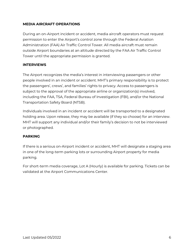#### **MEDIA AIRCRAFT OPERATIONS**

During an on-Airport incident or accident, media aircraft operators must request permission to enter the Airport's control zone through the Federal Aviation Administration (FAA) Air Traffic Control Tower. All media aircraft must remain outside Airport boundaries at an altitude directed by the FAA Air Traffic Control Tower until the appropriate permission is granted.

#### **INTERVIEWS**

The Airport recognizes the media's interest in interviewing passengers or other people involved in an incident or accident. MHT's primary responsibility is to protect the passengers', crews', and families' rights to privacy. Access to passengers is subject to the approval of the appropriate airline or organization(s) involved, including the FAA, TSA, Federal Bureau of Investigation (FBI), and/or the National Transportation Safety Board (NTSB).

Individuals involved in an incident or accident will be transported to a designated holding area. Upon release, they may be available (if they so choose) for an interview. MHT will support any individual and/or their family's decision to not be interviewed or photographed.

#### **PARKING**

If there is a serious on-Airport incident or accident, MHT will designate a staging area in one of the long-term parking lots or surrounding Airport property for media parking.

For short-term media coverage, Lot A (Hourly) is available for parking. Tickets can be validated at the Airport Communications Center.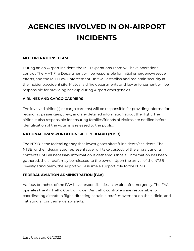# <span id="page-6-0"></span>**AGENCIES INVOLVED IN ON-AIRPORT INCIDENTS**

#### **MHT OPERATIONS TEAM**

During an on-Airport incident, the MHT Operations Team will have operational control. The MHT Fire Department will be responsible for initial emergency/rescue efforts, and the MHT Law Enforcement Unit will establish and maintain security at the incident/accident site. Mutual aid fire departments and law enforcement will be responsible for providing backup during Airport emergencies.

#### **AIRLINES AND CARGO CARRIERS**

The involved airline(s) or cargo carrier(s) will be responsible for providing information regarding passengers, crew, and any detailed information about the flight. The airline is also responsible for ensuring families/friends of victims are notified before identification of the victims is released to the public.

#### **NATIONAL TRANSPORTATION SAFETY BOARD (NTSB)**

The NTSB is the federal agency that investigates aircraft incidents/accidents. The NTSB, or their designated representative, will take custody of the aircraft and its contents until all necessary information is gathered. Once all information has been gathered, the aircraft may be released to the owner. Upon the arrival of the NTSB investigating team, the Airport will assume a support role to the NTSB.

#### **FEDERAL AVIATION ADMINISTRATION (FAA)**

Various branches of the FAA have responsibilities in an aircraft emergency. The FAA operates the Air Traffic Control Tower. Air traffic controllers are responsible for coordinating aircraft in flight, directing certain aircraft movement on the airfield, and initiating aircraft emergency alerts.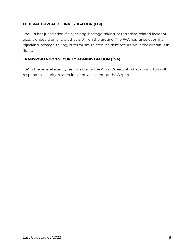#### **FEDERAL BUREAU OF INVESTIGATION (FBI)**

The FBI has jurisdiction if a hijacking, hostage-taking, or terrorism-related incident occurs onboard an aircraft that is still on the ground. The FAA has jurisdiction if a hijacking, hostage-taking, or terrorism-related incident occurs while the aircraft is in flight.

#### **TRANSPORTATION SECURITY ADMINISTRATION (TSA)**

TSA is the federal agency responsible for the Airport's security checkpoint. TSA will respond to security-related incidents/accidents at the Airport.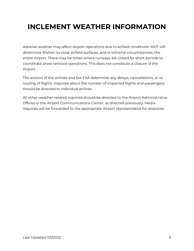# <span id="page-8-0"></span>**INCLEMENT WEATHER INFORMATION**

Adverse weather may affect Airport operations due to airfield conditions. MHT will determine if/when to close airfield surfaces, and in extreme circumstances, the entire Airport. There may be times where runways are closed for short periods to coordinate snow removal operations. This does not constitute a closure of the Airport.

The actions of the airlines and the FAA determine any delays, cancellations, or rerouting of flights. Inquiries about the number of impacted flights and passengers should be directed to individual airlines.

All other weather-related inquiries should be directed to the Airport Administrative Offices or the Airport Communications Center, as directed previously. Media inquiries will be forwarded to the appropriate Airport representative for response.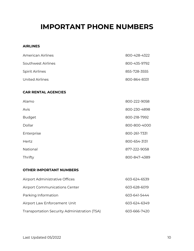### <span id="page-9-0"></span>**IMPORTANT PHONE NUMBERS**

#### **AIRLINES**

| American Airlines      | 800-428-4322 |
|------------------------|--------------|
| Southwest Airlines     | 800-435-9792 |
| <b>Spirit Airlines</b> | 855-728-3555 |
| United Airlines        | 800-864-8331 |

#### **CAR RENTAL AGENCIES**

| Alamo         | 800-222-9058 |
|---------------|--------------|
| Avis          | 800-230-4898 |
| <b>Budget</b> | 800-218-7992 |
| Dollar        | 800-800-4000 |
| Enterprise    | 800-261-7331 |
| Hertz         | 800-654-3131 |
| National      | 877-222-9058 |
| Thrifty       | 800-847-4389 |

#### **OTHER IMPORTANT NUMBERS**

| Airport Administrative Offices               | 603-624-6539 |
|----------------------------------------------|--------------|
| <b>Airport Communications Center</b>         | 603-628-6019 |
| Parking Information                          | 603-641-5444 |
| Airport Law Enforcement Unit                 | 603-624-6349 |
| Transportation Security Administration (TSA) | 603-666-7420 |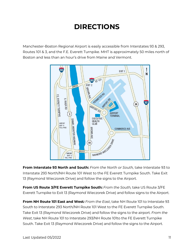# **DIRECTIONS**

<span id="page-10-0"></span>Manchester-Boston Regional Airport is easily accessible from Interstates 93 & 293, Routes 101 & 3, and the F.E. Everett Turnpike. MHT is approximately 50 miles north of Boston and less than an hour's drive from Maine and Vermont.



**From Interstate 93 North and South:** *From the North or South,* take Interstate 93 to Interstate 293 North/NH Route 101 West to the FE Everett Turnpike South. Take Exit 13 (Raymond Wieczorek Drive) and follow the signs to the Airport.

**From US Route 3/FE Everett Turnpike South:** *From the South,* take US Route 3/FE Everett Turnpike to Exit 13 (Raymond Wieczorek Drive) and follow signs to the Airport.

**From NH Route 101 East and West***: From the East*, take NH Route 101 to Interstate 93 South to Interstate 293 North/NH Route 101 West to the FE Everett Turnpike South. Take Exit 13 (Raymond Wieczorek Drive) and follow the signs to the airport. *From the West*, take NH Route 101 to Interstate 293/NH Route 101to the FE Everett Turnpike South. Take Exit 13 (Raymond Wieczorek Drive) and follow the signs to the Airport.